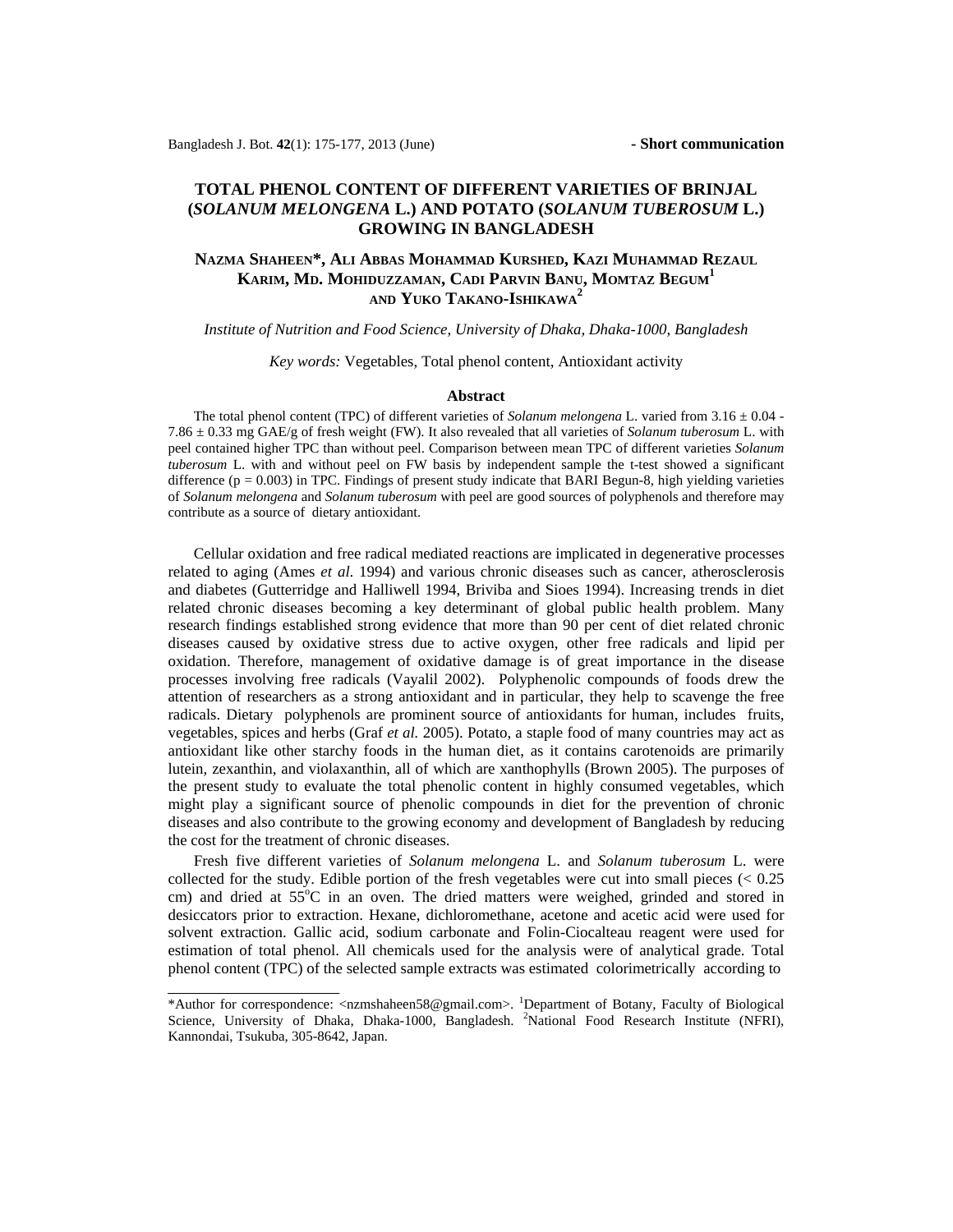# **TOTAL PHENOL CONTENT OF DIFFERENT VARIETIES OF BRINJAL (***SOLANUM MELONGENA* **L.) AND POTATO (***SOLANUM TUBEROSUM* **L.) GROWING IN BANGLADESH**

## **NAZMA SHAHEEN\*, ALI ABBAS MOHAMMAD KURSHED, KAZI MUHAMMAD REZAUL KARIM, MD. MOHIDUZZAMAN, CADI PARVIN BANU, MOMTAZ BEGUM<sup>1</sup> AND YUKO TAKANO-ISHIKAWA2**

#### *Institute of Nutrition and Food Science, University of Dhaka, Dhaka-1000, Bangladesh*

*Key words:* Vegetables, Total phenol content, Antioxidant activity

#### **Abstract**

 The total phenol content (TPC) of different varieties of *Solanum melongena* L. varied from 3.16 ± 0.04 - 7.86 ± 0.33 mg GAE/g of fresh weight (FW). It also revealed that all varieties of *Solanum tuberosum* L. with peel contained higher TPC than without peel. Comparison between mean TPC of different varieties *Solanum tuberosum* L. with and without peel on FW basis by independent sample the t-test showed a significant difference  $(p = 0.003)$  in TPC. Findings of present study indicate that BARI Begun-8, high yielding varieties of *Solanum melongena* and *Solanum tuberosum* with peel are good sources of polyphenols and therefore may contribute as a source of dietary antioxidant.

 Cellular oxidation and free radical mediated reactions are implicated in degenerative processes related to aging (Ames *et al*. 1994) and various chronic diseases such as cancer, atherosclerosis and diabetes (Gutterridge and Halliwell 1994, Briviba and Sioes 1994). Increasing trends in diet related chronic diseases becoming a key determinant of global public health problem. Many research findings established strong evidence that more than 90 per cent of diet related chronic diseases caused by oxidative stress due to active oxygen, other free radicals and lipid per oxidation. Therefore, management of oxidative damage is of great importance in the disease processes involving free radicals (Vayalil 2002). Polyphenolic compounds of foods drew the attention of researchers as a strong antioxidant and in particular, they help to scavenge the free radicals. Dietary polyphenols are prominent source of antioxidants for human, includes fruits, vegetables, spices and herbs (Graf *et al.* 2005). Potato, a staple food of many countries may act as antioxidant like other starchy foods in the human diet, as it contains carotenoids are primarily lutein, zexanthin, and violaxanthin, all of which are xanthophylls (Brown 2005). The purposes of the present study to evaluate the total phenolic content in highly consumed vegetables, which might play a significant source of phenolic compounds in diet for the prevention of chronic diseases and also contribute to the growing economy and development of Bangladesh by reducing the cost for the treatment of chronic diseases.

 Fresh five different varieties of *Solanum melongena* L. and *Solanum tuberosum* L. were collected for the study. Edible portion of the fresh vegetables were cut into small pieces  $(< 0.25$ cm) and dried at 55°C in an oven. The dried matters were weighed, grinded and stored in desiccators prior to extraction. Hexane, dichloromethane, acetone and acetic acid were used for solvent extraction. Gallic acid, sodium carbonate and Folin-Ciocalteau reagent were used for estimation of total phenol. All chemicals used for the analysis were of analytical grade. Total phenol content (TPC) of the selected sample extracts was estimated colorimetrically according to

<sup>\*</sup>Author for correspondence: <nzmshaheen58@gmail.com>. <sup>1</sup> Department of Botany, Faculty of Biological Science, University of Dhaka, Dhaka-1000, Bangladesh. <sup>2</sup>National Food Research Institute (NFRI), Kannondai, Tsukuba, 305-8642, Japan.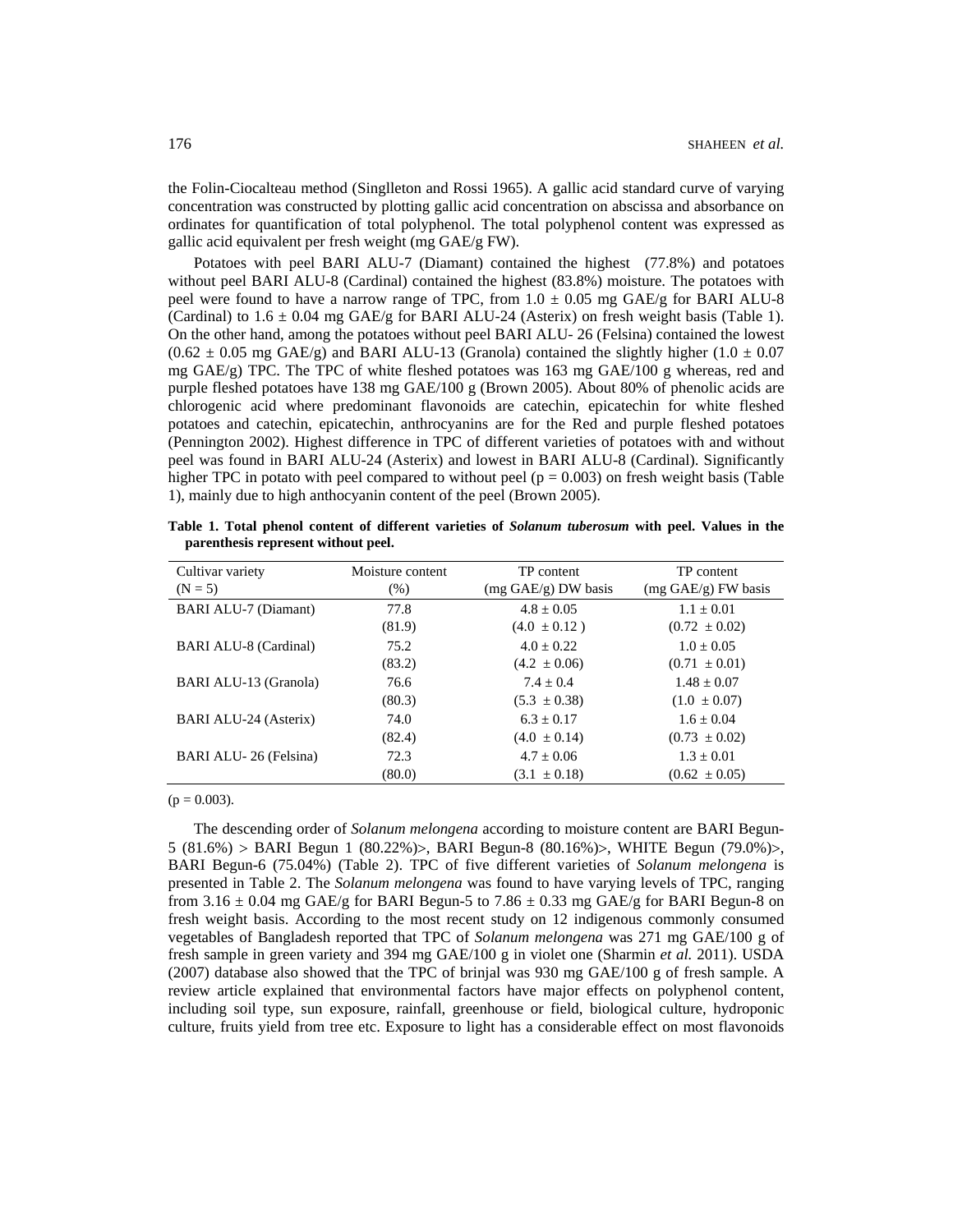the Folin-Ciocalteau method (Singlleton and Rossi 1965). A gallic acid standard curve of varying concentration was constructed by plotting gallic acid concentration on abscissa and absorbance on ordinates for quantification of total polyphenol. The total polyphenol content was expressed as gallic acid equivalent per fresh weight (mg GAE/g FW).

 Potatoes with peel BARI ALU-7 (Diamant) contained the highest (77.8%) and potatoes without peel BARI ALU-8 (Cardinal) contained the highest (83.8%) moisture. The potatoes with peel were found to have a narrow range of TPC, from  $1.0 \pm 0.05$  mg GAE/g for BARI ALU-8 (Cardinal) to  $1.6 \pm 0.04$  mg GAE/g for BARI ALU-24 (Asterix) on fresh weight basis (Table 1). On the other hand, among the potatoes without peel BARI ALU- 26 (Felsina) contained the lowest  $(0.62 \pm 0.05 \text{ mg } \text{GAE/g})$  and BARI ALU-13 (Granola) contained the slightly higher  $(1.0 \pm 0.07$ mg  $GAE/g$ ) TPC. The TPC of white fleshed potatoes was 163 mg  $GAE/100$  g whereas, red and purple fleshed potatoes have 138 mg GAE/100 g (Brown 2005). About 80% of phenolic acids are chlorogenic acid where predominant flavonoids are catechin, epicatechin for white fleshed potatoes and catechin, epicatechin, anthrocyanins are for the Red and purple fleshed potatoes (Pennington 2002). Highest difference in TPC of different varieties of potatoes with and without peel was found in BARI ALU-24 (Asterix) and lowest in BARI ALU-8 (Cardinal). Significantly higher TPC in potato with peel compared to without peel ( $p = 0.003$ ) on fresh weight basis (Table 1), mainly due to high anthocyanin content of the peel (Brown 2005).

| Cultivar variety            | Moisture content | TP content                    | TP content                    |
|-----------------------------|------------------|-------------------------------|-------------------------------|
| $(N = 5)$                   | $(\% )$          | $(mg \text{ GAE/g})$ DW basis | $(mg \text{ GAE/g})$ FW basis |
| <b>BARI ALU-7 (Diamant)</b> | 77.8             | $4.8 \pm 0.05$                | $1.1 \pm 0.01$                |
|                             | (81.9)           | $(4.0 \pm 0.12)$              | $(0.72 \pm 0.02)$             |
| BARI ALU-8 (Cardinal)       | 75.2             | $4.0 + 0.22$                  | $1.0 \pm 0.05$                |
|                             | (83.2)           | $(4.2 \pm 0.06)$              | $(0.71 \pm 0.01)$             |
| BARI ALU-13 (Granola)       | 76.6             | $7.4 + 0.4$                   | $1.48 \pm 0.07$               |
|                             | (80.3)           | $(5.3 \pm 0.38)$              | $(1.0 \pm 0.07)$              |
| BARI ALU-24 (Asterix)       | 74.0             | $6.3 + 0.17$                  | $1.6 \pm 0.04$                |
|                             | (82.4)           | $(4.0 \pm 0.14)$              | $(0.73 \pm 0.02)$             |
| BARI ALU-26 (Felsina)       | 72.3             | $4.7 \pm 0.06$                | $1.3 \pm 0.01$                |
|                             | (80.0)           | $(3.1 \pm 0.18)$              | $(0.62 \pm 0.05)$             |

**Table 1. Total phenol content of different varieties of** *Solanum tuberosum* **with peel. Values in the parenthesis represent without peel.** 

 $(p = 0.003)$ .

 The descending order of *Solanum melongena* according to moisture content are BARI Begun-5 (81.6%) > BARI Begun 1 (80.22%)>, BARI Begun-8 (80.16%)>, WHITE Begun (79.0%)>, BARI Begun-6 (75.04%) (Table 2). TPC of five different varieties of *Solanum melongena* is presented in Table 2. The *Solanum melongena* was found to have varying levels of TPC, ranging from  $3.16 \pm 0.04$  mg GAE/g for BARI Begun-5 to 7.86  $\pm$  0.33 mg GAE/g for BARI Begun-8 on fresh weight basis. According to the most recent study on 12 indigenous commonly consumed vegetables of Bangladesh reported that TPC of *Solanum melongena* was 271 mg GAE/100 g of fresh sample in green variety and 394 mg GAE/100 g in violet one (Sharmin *et al.* 2011). USDA (2007) database also showed that the TPC of brinjal was 930 mg GAE/100 g of fresh sample. A review article explained that environmental factors have major effects on polyphenol content, including soil type, sun exposure, rainfall, greenhouse or field, biological culture, hydroponic culture, fruits yield from tree etc. Exposure to light has a considerable effect on most flavonoids